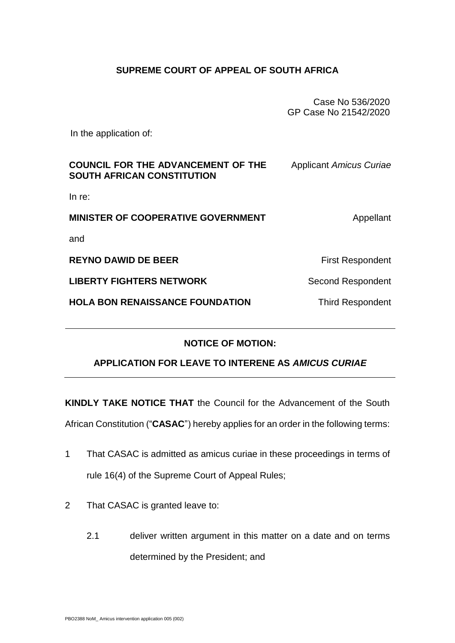## **SUPREME COURT OF APPEAL OF SOUTH AFRICA**

Case No 536/2020 GP Case No 21542/2020

In the application of:

| <b>COUNCIL FOR THE ADVANCEMENT OF THE</b><br><b>SOUTH AFRICAN CONSTITUTION</b> | <b>Applicant Amicus Curiae</b> |
|--------------------------------------------------------------------------------|--------------------------------|
| In $re$ :                                                                      |                                |
| <b>MINISTER OF COOPERATIVE GOVERNMENT</b>                                      | Appellant                      |
| and                                                                            |                                |
| <b>REYNO DAWID DE BEER</b>                                                     | <b>First Respondent</b>        |
| <b>LIBERTY FIGHTERS NETWORK</b>                                                | Second Respondent              |
| <b>HOLA BON RENAISSANCE FOUNDATION</b>                                         | <b>Third Respondent</b>        |
|                                                                                |                                |

## **NOTICE OF MOTION:**

## **APPLICATION FOR LEAVE TO INTERENE AS** *AMICUS CURIAE*

**KINDLY TAKE NOTICE THAT** the Council for the Advancement of the South

African Constitution ("**CASAC**") hereby applies for an order in the following terms:

- 1 That CASAC is admitted as amicus curiae in these proceedings in terms of rule 16(4) of the Supreme Court of Appeal Rules;
- 2 That CASAC is granted leave to:
	- 2.1 deliver written argument in this matter on a date and on terms determined by the President; and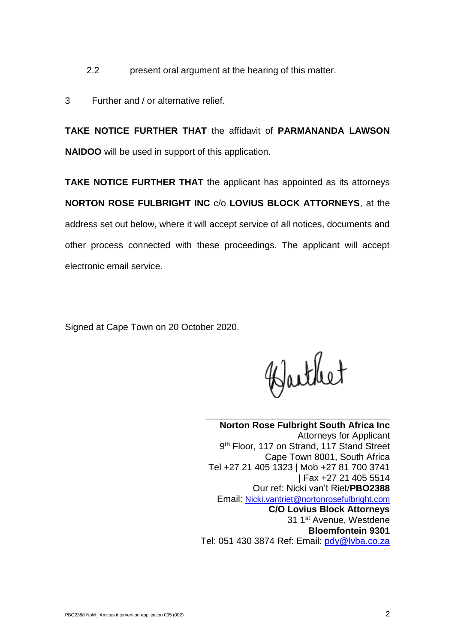- 2.2 present oral argument at the hearing of this matter.
- 3 Further and / or alternative relief.

**TAKE NOTICE FURTHER THAT** the affidavit of **PARMANANDA LAWSON NAIDOO** will be used in support of this application.

**TAKE NOTICE FURTHER THAT** the applicant has appointed as its attorneys **NORTON ROSE FULBRIGHT INC** c/o **LOVIUS BLOCK ATTORNEYS**, at the address set out below, where it will accept service of all notices, documents and other process connected with these proceedings. The applicant will accept electronic email service.

Signed at Cape Town on 20 October 2020.

Barthet

\_\_\_\_\_\_\_\_\_\_\_\_\_\_\_\_\_\_\_\_\_\_\_\_\_\_\_\_\_\_\_\_\_\_\_\_ **Norton Rose Fulbright South Africa Inc** Attorneys for Applicant 9<sup>th</sup> Floor, 117 on Strand, 117 Stand Street Cape Town 8001, South Africa Tel +27 21 405 1323 | Mob +27 81 700 3741 | Fax +27 21 405 5514 Our ref: Nicki van't Riet/**PBO2388** Email: [Nicki.vantriet@nortonrosefulbright.com](mailto:Nicki.vantriet@nortonrosefulbright.com) **C/O Lovius Block Attorneys** 31 1<sup>st</sup> Avenue, Westdene **Bloemfontein 9301** Tel: 051 430 3874 Ref: Email: [pdy@lvba.co.za](mailto:pdy@lvba.co.za)